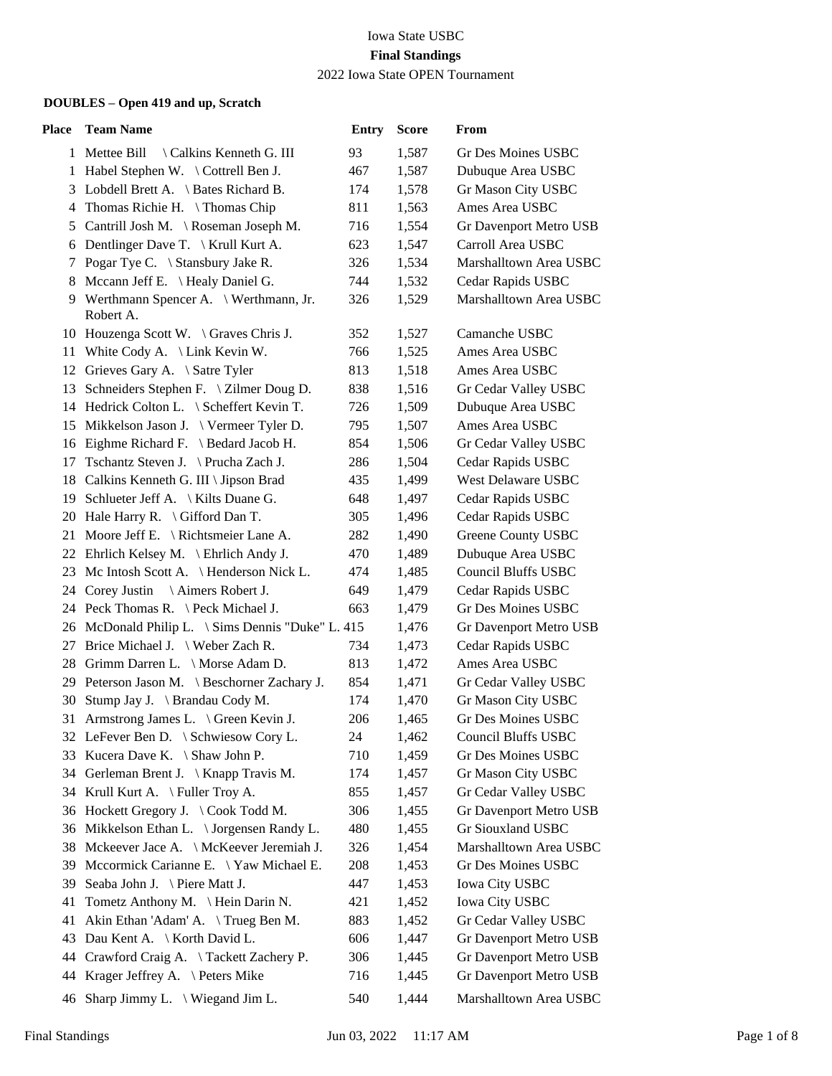| Place | <b>Team Name</b>                                     | <b>Entry</b> | <b>Score</b> | From                       |
|-------|------------------------------------------------------|--------------|--------------|----------------------------|
|       | 1 Mettee Bill<br>\ Calkins Kenneth G. III            | 93           | 1,587        | Gr Des Moines USBC         |
|       | 1 Habel Stephen W. \ Cottrell Ben J.                 | 467          | 1,587        | Dubuque Area USBC          |
| 3     | Lobdell Brett A. \ Bates Richard B.                  | 174          | 1,578        | Gr Mason City USBC         |
| 4     | Thomas Richie H. \Thomas Chip                        | 811          | 1,563        | Ames Area USBC             |
| 5     | Cantrill Josh M. \ Roseman Joseph M.                 | 716          | 1,554        | Gr Davenport Metro USB     |
| 6     | Dentlinger Dave T. \ Krull Kurt A.                   | 623          | 1,547        | Carroll Area USBC          |
| 7     | Pogar Tye C. \ Stansbury Jake R.                     | 326          | 1,534        | Marshalltown Area USBC     |
| 8     | Mccann Jeff E. \ Healy Daniel G.                     | 744          | 1,532        | Cedar Rapids USBC          |
|       | 9 Werthmann Spencer A. \ Werthmann, Jr.<br>Robert A. | 326          | 1,529        | Marshalltown Area USBC     |
|       | 10 Houzenga Scott W. \ Graves Chris J.               | 352          | 1,527        | Camanche USBC              |
|       | 11 White Cody A. \ Link Kevin W.                     | 766          | 1,525        | Ames Area USBC             |
|       | 12 Grieves Gary A. \ Satre Tyler                     | 813          | 1,518        | Ames Area USBC             |
|       | 13 Schneiders Stephen F. \ Zilmer Doug D.            | 838          | 1,516        | Gr Cedar Valley USBC       |
|       | 14 Hedrick Colton L. \ Scheffert Kevin T.            | 726          | 1,509        | Dubuque Area USBC          |
|       | 15 Mikkelson Jason J. \ Vermeer Tyler D.             | 795          | 1,507        | Ames Area USBC             |
|       | 16 Eighme Richard F. \ Bedard Jacob H.               | 854          | 1,506        | Gr Cedar Valley USBC       |
|       | 17 Tschantz Steven J. \ Prucha Zach J.               | 286          | 1,504        | Cedar Rapids USBC          |
|       | 18 Calkins Kenneth G. III \ Jipson Brad              | 435          | 1,499        | <b>West Delaware USBC</b>  |
|       | 19 Schlueter Jeff A. \ Kilts Duane G.                | 648          | 1,497        | Cedar Rapids USBC          |
|       | 20 Hale Harry R. \ Gifford Dan T.                    | 305          | 1,496        | Cedar Rapids USBC          |
|       | 21 Moore Jeff E. \ Richtsmeier Lane A.               | 282          | 1,490        | <b>Greene County USBC</b>  |
|       | 22 Ehrlich Kelsey M. \ Ehrlich Andy J.               | 470          | 1,489        | Dubuque Area USBC          |
|       | 23 Mc Intosh Scott A. \ Henderson Nick L.            | 474          | 1,485        | <b>Council Bluffs USBC</b> |
|       | 24 Corey Justin \Aimers Robert J.                    | 649          | 1,479        | Cedar Rapids USBC          |
|       | 24 Peck Thomas R. \ Peck Michael J.                  | 663          | 1,479        | Gr Des Moines USBC         |
|       | 26 McDonald Philip L. \ Sims Dennis "Duke" L. 415    |              | 1,476        | Gr Davenport Metro USB     |
| 27    | Brice Michael J. \ Weber Zach R.                     | 734          | 1,473        | Cedar Rapids USBC          |
|       | 28 Grimm Darren L. \ Morse Adam D.                   | 813          | 1,472        | Ames Area USBC             |
|       | 29 Peterson Jason M. \ Beschorner Zachary J.         | 854          | 1,471        | Gr Cedar Valley USBC       |
|       | 30 Stump Jay J. \ Brandau Cody M.                    | 174          | 1,470        | Gr Mason City USBC         |
|       | 31 Armstrong James L. \ Green Kevin J.               | 206          | 1,465        | <b>Gr Des Moines USBC</b>  |
|       | 32 LeFever Ben D. \ Schwiesow Cory L.                | 24           | 1,462        | <b>Council Bluffs USBC</b> |
|       | 33 Kucera Dave K. \ Shaw John P.                     | 710          | 1,459        | Gr Des Moines USBC         |
| 34    | Gerleman Brent J. \ Knapp Travis M.                  | 174          | 1,457        | Gr Mason City USBC         |
|       | 34 Krull Kurt A. \ Fuller Troy A.                    | 855          | 1,457        | Gr Cedar Valley USBC       |
|       | 36 Hockett Gregory J. \Cook Todd M.                  | 306          | 1,455        | Gr Davenport Metro USB     |
|       | 36 Mikkelson Ethan L. \ Jorgensen Randy L.           | 480          | 1,455        | Gr Siouxland USBC          |
|       | 38 Mckeever Jace A. \ McKeever Jeremiah J.           | 326          | 1,454        | Marshalltown Area USBC     |
| 39    | Mccormick Carianne E. \Yaw Michael E.                | 208          | 1,453        | Gr Des Moines USBC         |
|       | 39 Seaba John J. \ Piere Matt J.                     | 447          | 1,453        | <b>Iowa City USBC</b>      |
| 41    | Tometz Anthony M. \ Hein Darin N.                    | 421          | 1,452        | Iowa City USBC             |
| 41    | Akin Ethan 'Adam' A. \ Trueg Ben M.                  | 883          | 1,452        | Gr Cedar Valley USBC       |
| 43    | Dau Kent A. \ Korth David L.                         | 606          | 1,447        | Gr Davenport Metro USB     |
|       | 44 Crawford Craig A. \Tackett Zachery P.             | 306          | 1,445        | Gr Davenport Metro USB     |
| 44    | Krager Jeffrey A. $\ \$ Peters Mike                  | 716          | 1,445        | Gr Davenport Metro USB     |
|       | 46 Sharp Jimmy L. $\forall$ Wiegand Jim L.           | 540          | 1,444        | Marshalltown Area USBC     |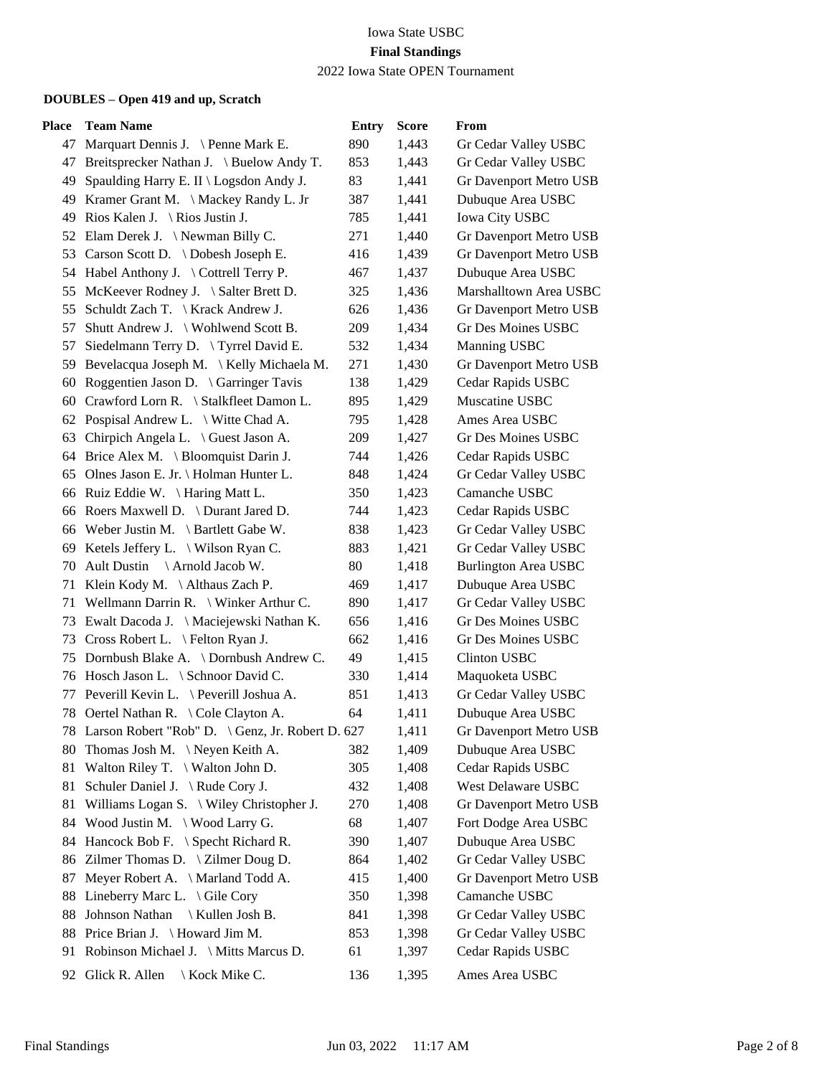| <b>Place</b> | <b>Team Name</b>                                    | <b>Entry</b> | <b>Score</b> | From                        |
|--------------|-----------------------------------------------------|--------------|--------------|-----------------------------|
|              | 47 Marquart Dennis J. \ Penne Mark E.               | 890          | 1,443        | Gr Cedar Valley USBC        |
|              | 47 Breitsprecker Nathan J. \ Buelow Andy T.         | 853          | 1,443        | Gr Cedar Valley USBC        |
|              | 49 Spaulding Harry E. II \ Logsdon Andy J.          | 83           | 1,441        | Gr Davenport Metro USB      |
| 49           | Kramer Grant M. \ Mackey Randy L. Jr                | 387          | 1,441        | Dubuque Area USBC           |
| 49           | Rios Kalen J. \ Rios Justin J.                      | 785          | 1,441        | <b>Iowa City USBC</b>       |
| 52           | Elam Derek J. \Newman Billy C.                      | 271          | 1,440        | Gr Davenport Metro USB      |
|              | 53 Carson Scott D. \ Dobesh Joseph E.               | 416          | 1,439        | Gr Davenport Metro USB      |
|              | 54 Habel Anthony J. \ Cottrell Terry P.             | 467          | 1,437        | Dubuque Area USBC           |
| 55           | McKeever Rodney J. \ Salter Brett D.                | 325          | 1,436        | Marshalltown Area USBC      |
| 55           | Schuldt Zach T. \ Krack Andrew J.                   | 626          | 1,436        | Gr Davenport Metro USB      |
| 57           | Shutt Andrew J. \ Wohlwend Scott B.                 | 209          | 1,434        | Gr Des Moines USBC          |
| 57           | Siedelmann Terry D. \Tyrrel David E.                | 532          | 1,434        | Manning USBC                |
| 59           | Bevelacqua Joseph M. \ Kelly Michaela M.            | 271          | 1,430        | Gr Davenport Metro USB      |
| 60           | Roggentien Jason D. $\setminus$ Garringer Tavis     | 138          | 1,429        | Cedar Rapids USBC           |
| 60           | Crawford Lorn R. \ Stalkfleet Damon L.              | 895          | 1,429        | Muscatine USBC              |
| 62           | Pospisal Andrew L. \ Witte Chad A.                  | 795          | 1,428        | Ames Area USBC              |
| 63           | Chirpich Angela L. \ Guest Jason A.                 | 209          | 1,427        | Gr Des Moines USBC          |
|              | 64 Brice Alex M. \ Bloomquist Darin J.              | 744          | 1,426        | Cedar Rapids USBC           |
| 65           | Olnes Jason E. Jr. \ Holman Hunter L.               | 848          | 1,424        | Gr Cedar Valley USBC        |
| 66           | Ruiz Eddie W. \ Haring Matt L.                      | 350          | 1,423        | Camanche USBC               |
| 66           | Roers Maxwell D. \ Durant Jared D.                  | 744          | 1,423        | Cedar Rapids USBC           |
| 66           | Weber Justin M. $\setminus$ Bartlett Gabe W.        | 838          | 1,423        | Gr Cedar Valley USBC        |
| 69           | Ketels Jeffery L. $\setminus$ Wilson Ryan C.        | 883          | 1,421        | Gr Cedar Valley USBC        |
| 70           | Ault Dustin \ Arnold Jacob W.                       | 80           | 1,418        | <b>Burlington Area USBC</b> |
| 71           | Klein Kody M. $\Lambda$ lthaus Zach P.              | 469          | 1,417        | Dubuque Area USBC           |
| 71           | Wellmann Darrin R. \ Winker Arthur C.               | 890          | 1,417        | Gr Cedar Valley USBC        |
|              | 73 Ewalt Dacoda J. \ Maciejewski Nathan K.          | 656          | 1,416        | Gr Des Moines USBC          |
| 73           | Cross Robert L. $\ \epsilon$ Felton Ryan J.         | 662          | 1,416        | Gr Des Moines USBC          |
| 75           | Dornbush Blake A. \ Dornbush Andrew C.              | 49           | 1,415        | <b>Clinton USBC</b>         |
|              | 76 Hosch Jason L. \ Schnoor David C.                | 330          | 1,414        | Maquoketa USBC              |
| 77           | Peverill Kevin L. \ Peverill Joshua A.              | 851          | 1,413        | Gr Cedar Valley USBC        |
|              | 78 Oertel Nathan R. \ Cole Clayton A.               | 64           | 1,411        | Dubuque Area USBC           |
|              | 78 Larson Robert "Rob" D. \ Genz, Jr. Robert D. 627 |              | 1,411        | Gr Davenport Metro USB      |
|              | 80 Thomas Josh M. \Neyen Keith A.                   | 382          | 1,409        | Dubuque Area USBC           |
| 81           | Walton Riley T. $\setminus$ Walton John D.          | 305          | 1,408        | Cedar Rapids USBC           |
| 81           | Schuler Daniel J. \Rude Cory J.                     | 432          | 1,408        | West Delaware USBC          |
| 81           | Williams Logan S. \ Wiley Christopher J.            | 270          | 1,408        | Gr Davenport Metro USB      |
|              | 84 Wood Justin M. \ Wood Larry G.                   | 68           | 1,407        | Fort Dodge Area USBC        |
|              | 84 Hancock Bob F. \ Specht Richard R.               | 390          | 1,407        | Dubuque Area USBC           |
|              | 86 Zilmer Thomas D. \ Zilmer Doug D.                | 864          | 1,402        | Gr Cedar Valley USBC        |
| 87           | Meyer Robert A. \ Marland Todd A.                   | 415          | 1,400        | Gr Davenport Metro USB      |
|              | 88 Lineberry Marc L. \ Gile Cory                    | 350          | 1,398        | Camanche USBC               |
| 88           | Johnson Nathan \ Kullen Josh B.                     | 841          | 1,398        | Gr Cedar Valley USBC        |
| 88           | Price Brian J. \ Howard Jim M.                      | 853          | 1,398        | Gr Cedar Valley USBC        |
| 91           | Robinson Michael J. \ Mitts Marcus D.               | 61           | 1,397        | Cedar Rapids USBC           |
|              | 92 Glick R. Allen<br>\ Kock Mike C.                 | 136          | 1,395        | Ames Area USBC              |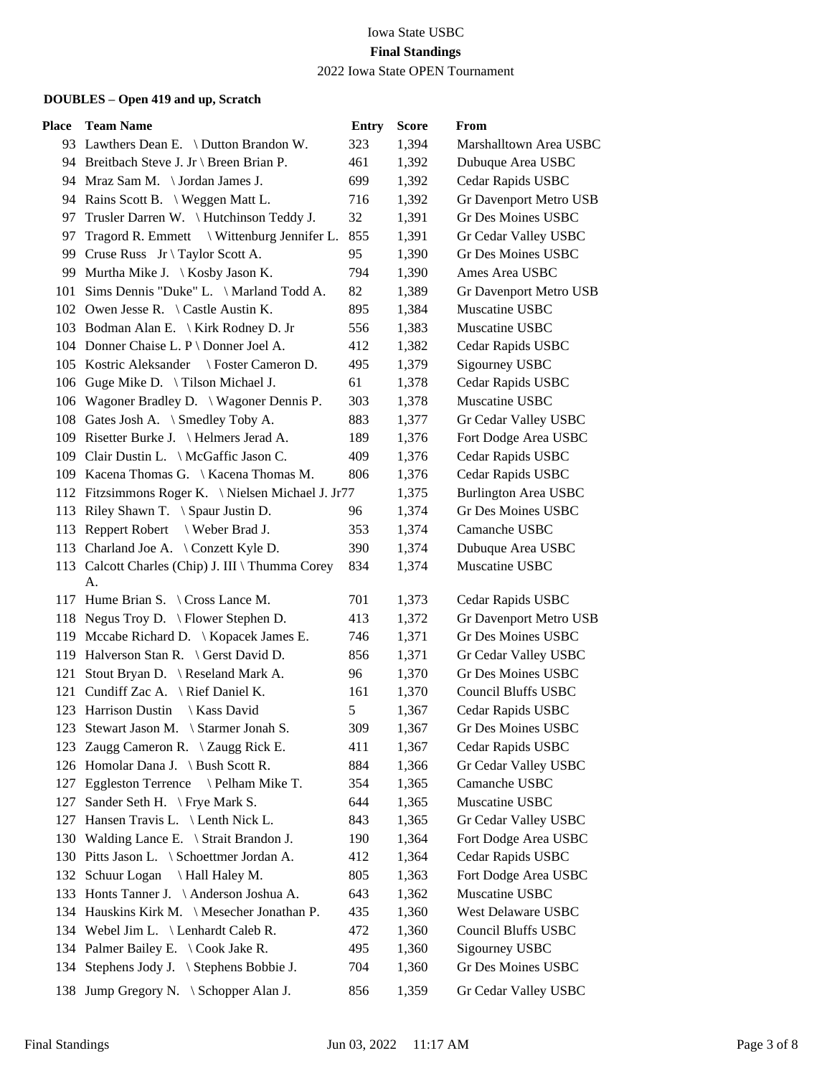# Iowa State USBC **Final Standings**

## 2022 Iowa State OPEN Tournament

| Place | <b>Team Name</b>                                       | <b>Entry</b> | <b>Score</b> | From                        |
|-------|--------------------------------------------------------|--------------|--------------|-----------------------------|
|       | 93 Lawthers Dean E. \ Dutton Brandon W.                | 323          | 1,394        | Marshalltown Area USBC      |
|       | 94 Breitbach Steve J. Jr \ Breen Brian P.              | 461          | 1,392        | Dubuque Area USBC           |
|       | 94 Mraz Sam M. \Jordan James J.                        | 699          | 1,392        | Cedar Rapids USBC           |
|       | 94 Rains Scott B. \ Weggen Matt L.                     | 716          | 1,392        | Gr Davenport Metro USB      |
| 97.   | Trusler Darren W. \Hutchinson Teddy J.                 | 32           | 1,391        | <b>Gr Des Moines USBC</b>   |
| 97    | Tragord R. Emmett \ Wittenburg Jennifer L.             | 855          | 1,391        | Gr Cedar Valley USBC        |
|       | 99 Cruse Russ Jr \ Taylor Scott A.                     | 95           | 1,390        | Gr Des Moines USBC          |
|       | 99 Murtha Mike J. \ Kosby Jason K.                     | 794          | 1,390        | Ames Area USBC              |
|       | 101 Sims Dennis "Duke" L. \ Marland Todd A.            | 82           | 1,389        | Gr Davenport Metro USB      |
|       | 102 Owen Jesse R. \ Castle Austin K.                   | 895          | 1,384        | Muscatine USBC              |
|       | 103 Bodman Alan E. \ Kirk Rodney D. Jr                 | 556          | 1,383        | Muscatine USBC              |
|       | 104 Donner Chaise L. P \ Donner Joel A.                | 412          | 1,382        | Cedar Rapids USBC           |
|       | 105 Kostric Aleksander \ Foster Cameron D.             | 495          | 1,379        | Sigourney USBC              |
|       | 106 Guge Mike D. \ Tilson Michael J.                   | 61           | 1,378        | Cedar Rapids USBC           |
|       | 106 Wagoner Bradley D. \ Wagoner Dennis P.             | 303          | 1,378        | Muscatine USBC              |
|       | 108 Gates Josh A. \ Smedley Toby A.                    | 883          | 1,377        | Gr Cedar Valley USBC        |
|       | 109 Risetter Burke J. \Helmers Jerad A.                | 189          | 1,376        | Fort Dodge Area USBC        |
|       | 109 Clair Dustin L. \ McGaffic Jason C.                | 409          | 1,376        | Cedar Rapids USBC           |
|       | 109 Kacena Thomas G. \ Kacena Thomas M.                | 806          | 1,376        | Cedar Rapids USBC           |
|       | 112 Fitzsimmons Roger K. \ Nielsen Michael J. Jr77     |              | 1,375        | <b>Burlington Area USBC</b> |
|       | 113 Riley Shawn T. \ Spaur Justin D.                   | 96           | 1,374        | <b>Gr Des Moines USBC</b>   |
|       | 113 Reppert Robert \ Weber Brad J.                     | 353          | 1,374        | Camanche USBC               |
|       | 113 Charland Joe A. \ Conzett Kyle D.                  | 390          | 1,374        | Dubuque Area USBC           |
|       | 113 Calcott Charles (Chip) J. III \ Thumma Corey<br>А. | 834          | 1,374        | Muscatine USBC              |
|       | 117 Hume Brian S. \ Cross Lance M.                     | 701          | 1,373        | Cedar Rapids USBC           |
|       | 118 Negus Troy D. \ Flower Stephen D.                  | 413          | 1,372        | Gr Davenport Metro USB      |
|       | 119 Mccabe Richard D.   Kopacek James E.               | 746          | 1,371        | Gr Des Moines USBC          |
|       | 119 Halverson Stan R. \ Gerst David D.                 | 856          | 1,371        | Gr Cedar Valley USBC        |
|       | 121 Stout Bryan D. \ Reseland Mark A.                  | 96           | 1,370        | Gr Des Moines USBC          |
|       | 121 Cundiff Zac A. \ Rief Daniel K.                    | 161          | 1,370        | <b>Council Bluffs USBC</b>  |
|       | 123 Harrison Dustin \ Kass David                       | 5            | 1,367        | Cedar Rapids USBC           |
|       | 123 Stewart Jason M. \ Starmer Jonah S.                | 309          | 1,367        | Gr Des Moines USBC          |
| 123.  | Zaugg Cameron R. $\ \ \angle$ Zaugg Rick E.            | 411          | 1,367        | Cedar Rapids USBC           |
|       | 126 Homolar Dana J. \ Bush Scott R.                    | 884          | 1,366        | Gr Cedar Valley USBC        |
|       | 127 Eggleston Terrence \ Pelham Mike T.                | 354          | 1,365        | Camanche USBC               |
| 127   | Sander Seth H. $\forall$ Frye Mark S.                  | 644          | 1,365        | Muscatine USBC              |
| 127   | Hansen Travis L. \ Lenth Nick L.                       | 843          | 1,365        | Gr Cedar Valley USBC        |
|       | 130 Walding Lance E. \ Strait Brandon J.               | 190          | 1,364        | Fort Dodge Area USBC        |
|       | 130 Pitts Jason L. \ Schoettmer Jordan A.              | 412          | 1,364        | Cedar Rapids USBC           |
|       | 132 Schuur Logan<br>Hall Haley M.                      | 805          | 1,363        | Fort Dodge Area USBC        |
|       | 133 Honts Tanner J. \Anderson Joshua A.                | 643          | 1,362        | Muscatine USBC              |
|       | 134 Hauskins Kirk M. \ Mesecher Jonathan P.            | 435          | 1,360        | West Delaware USBC          |
|       | 134 Webel Jim L. \ Lenhardt Caleb R.                   | 472          | 1,360        | Council Bluffs USBC         |
|       | 134 Palmer Bailey E. \ Cook Jake R.                    | 495          | 1,360        | Sigourney USBC              |
| 134   | Stephens Jody J. \ Stephens Bobbie J.                  | 704          | 1,360        | Gr Des Moines USBC          |
|       | 138 Jump Gregory N. \ Schopper Alan J.                 | 856          | 1,359        | Gr Cedar Valley USBC        |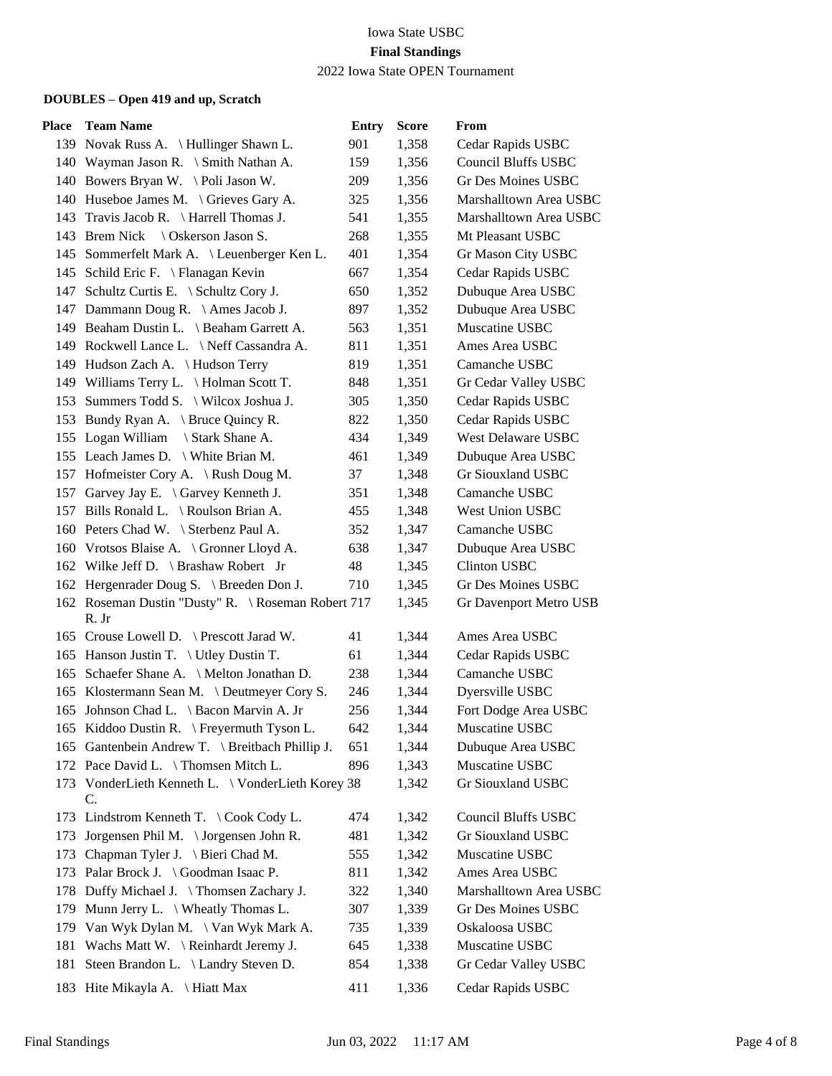# Iowa State USBC **Final Standings**

2022 Iowa State OPEN Tournament

| Place | <b>Team Name</b>                                                    | <b>Entry</b> | <b>Score</b> | From                       |
|-------|---------------------------------------------------------------------|--------------|--------------|----------------------------|
|       | 139 Novak Russ A. \Hullinger Shawn L.                               | 901          | 1,358        | Cedar Rapids USBC          |
|       | 140 Wayman Jason R. \ Smith Nathan A.                               | 159          | 1,356        | <b>Council Bluffs USBC</b> |
|       | 140 Bowers Bryan W. \Poli Jason W.                                  | 209          | 1,356        | <b>Gr Des Moines USBC</b>  |
|       | 140 Huseboe James M. \ Grieves Gary A.                              | 325          | 1,356        | Marshalltown Area USBC     |
|       | 143 Travis Jacob R. \ Harrell Thomas J.                             | 541          | 1,355        | Marshalltown Area USBC     |
|       | 143 Brem Nick \ Oskerson Jason S.                                   | 268          | 1,355        | Mt Pleasant USBC           |
|       | 145 Sommerfelt Mark A. \ Leuenberger Ken L.                         | 401          | 1,354        | Gr Mason City USBC         |
|       | 145 Schild Eric F. \ Flanagan Kevin                                 | 667          | 1,354        | Cedar Rapids USBC          |
|       | 147 Schultz Curtis E. \ Schultz Cory J.                             | 650          | 1,352        | Dubuque Area USBC          |
|       | 147 Dammann Doug R. \ Ames Jacob J.                                 | 897          | 1,352        | Dubuque Area USBC          |
|       | 149 Beaham Dustin L. \ Beaham Garrett A.                            | 563          | 1,351        | Muscatine USBC             |
|       | 149 Rockwell Lance L. \Neff Cassandra A.                            | 811          | 1,351        | Ames Area USBC             |
|       | 149 Hudson Zach A. \Hudson Terry                                    | 819          | 1,351        | Camanche USBC              |
|       | 149 Williams Terry L. \ Holman Scott T.                             | 848          | 1,351        | Gr Cedar Valley USBC       |
|       | 153 Summers Todd S. \ Wilcox Joshua J.                              | 305          | 1,350        | Cedar Rapids USBC          |
|       | 153 Bundy Ryan A. \ Bruce Quincy R.                                 | 822          | 1,350        | Cedar Rapids USBC          |
|       | 155 Logan William<br>Stark Shane A.                                 | 434          | 1,349        | West Delaware USBC         |
|       | 155 Leach James D. \ White Brian M.                                 | 461          | 1,349        | Dubuque Area USBC          |
|       | 157 Hofmeister Cory A. \ Rush Doug M.                               | 37           | 1,348        | Gr Siouxland USBC          |
|       | 157 Garvey Jay E. \ Garvey Kenneth J.                               | 351          | 1,348        | Camanche USBC              |
|       | 157 Bills Ronald L. \ Roulson Brian A.                              | 455          | 1,348        | <b>West Union USBC</b>     |
|       | 160 Peters Chad W. \ Sterbenz Paul A.                               | 352          | 1,347        | Camanche USBC              |
|       | 160 Vrotsos Blaise A. \ Gronner Lloyd A.                            | 638          | 1,347        | Dubuque Area USBC          |
|       | 162 Wilke Jeff D. \ Brashaw Robert Jr                               | 48           | 1,345        | <b>Clinton USBC</b>        |
|       | 162 Hergenrader Doug S. \ Breeden Don J.                            | 710          | 1,345        | Gr Des Moines USBC         |
|       | 162 Roseman Dustin "Dusty" R. \ Roseman Robert 717<br>R. Jr         |              | 1,345        | Gr Davenport Metro USB     |
|       | 165 Crouse Lowell D. \ Prescott Jarad W.                            | 41           | 1,344        | Ames Area USBC             |
|       | 165 Hanson Justin T. \ Utley Dustin T.                              | 61           | 1,344        | Cedar Rapids USBC          |
|       | 165 Schaefer Shane A. \ Melton Jonathan D.                          | 238          | 1,344        | Camanche USBC              |
|       | 165 Klostermann Sean M. \Deutmeyer Cory S.                          | 246          | 1,344        | Dyersville USBC            |
|       | 165 Johnson Chad L. \ Bacon Marvin A. Jr                            | 256          | 1,344        | Fort Dodge Area USBC       |
|       | 165 Kiddoo Dustin R. \ Freyermuth Tyson L.                          | 642          | 1,344        | Muscatine USBC             |
|       | 165 Gantenbein Andrew T. \ Breitbach Phillip J.                     | 651          | 1,344        | Dubuque Area USBC          |
|       | 172 Pace David L. \ Thomsen Mitch L.                                | 896          | 1,343        | Muscatine USBC             |
|       | 173 VonderLieth Kenneth L. \ VonderLieth Korey 38<br>$\mathbf{C}$ . |              | 1,342        | Gr Siouxland USBC          |
|       | 173 Lindstrom Kenneth T. \ Cook Cody L.                             | 474          | 1,342        | <b>Council Bluffs USBC</b> |
| 173   | Jorgensen Phil M. \ Jorgensen John R.                               | 481          | 1,342        | Gr Siouxland USBC          |
| 173   | Chapman Tyler J. \ Bieri Chad M.                                    | 555          | 1,342        | Muscatine USBC             |
|       | 173 Palar Brock J. \ Goodman Isaac P.                               | 811          | 1,342        | Ames Area USBC             |
|       | 178 Duffy Michael J. \Thomsen Zachary J.                            | 322          | 1,340        | Marshalltown Area USBC     |
| 179   | Munn Jerry L. \ Wheatly Thomas L.                                   | 307          | 1,339        | <b>Gr Des Moines USBC</b>  |
| 179   | Van Wyk Dylan M. \ Van Wyk Mark A.                                  | 735          | 1,339        | Oskaloosa USBC             |
| 181   | Wachs Matt W. \ Reinhardt Jeremy J.                                 | 645          | 1,338        | Muscatine USBC             |
| 181   | Steen Brandon L. \ Landry Steven D.                                 | 854          | 1,338        | Gr Cedar Valley USBC       |
|       | 183 Hite Mikayla A. \ Hiatt Max                                     | 411          | 1,336        | Cedar Rapids USBC          |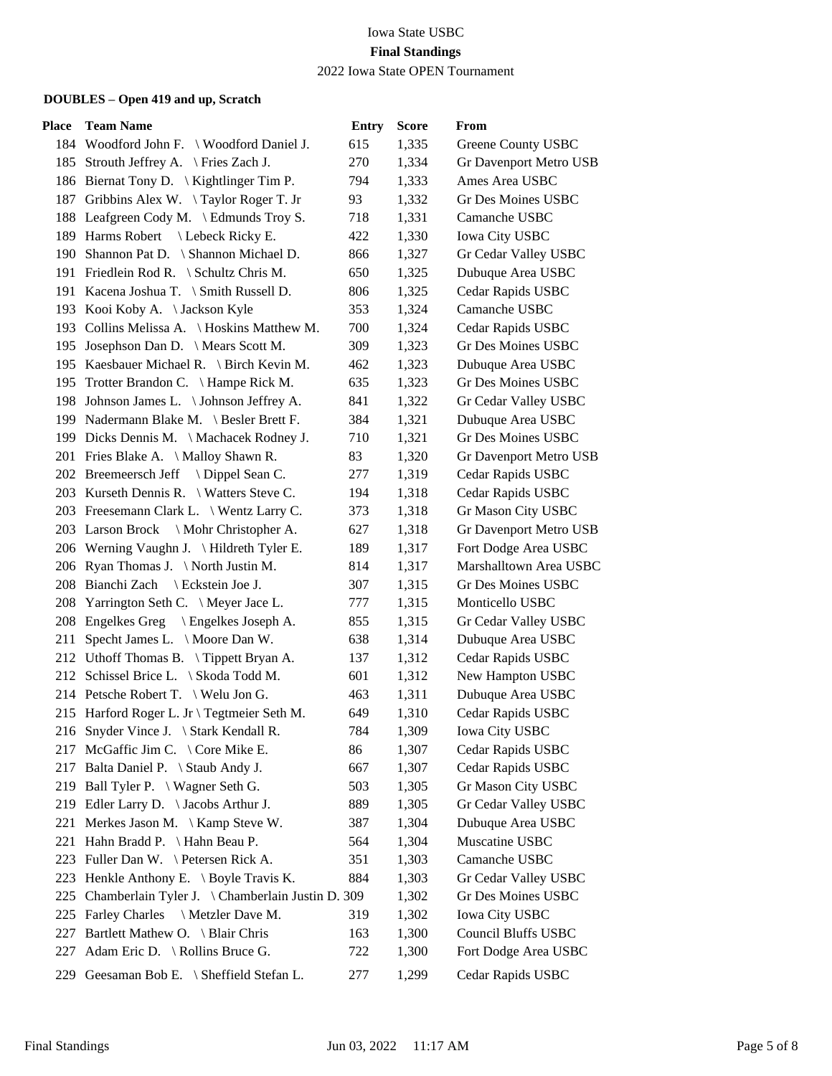| Place | <b>Team Name</b>                                    | <b>Entry</b> | <b>Score</b> | From                          |
|-------|-----------------------------------------------------|--------------|--------------|-------------------------------|
|       | 184 Woodford John F. \Woodford Daniel J.            | 615          | 1,335        | Greene County USBC            |
|       | 185 Strouth Jeffrey A. \ Fries Zach J.              | 270          | 1,334        | <b>Gr Davenport Metro USB</b> |
|       | 186 Biernat Tony D. \ Kightlinger Tim P.            | 794          | 1,333        | Ames Area USBC                |
|       | 187 Gribbins Alex W. \Taylor Roger T. Jr            | 93           | 1,332        | <b>Gr Des Moines USBC</b>     |
|       | 188 Leafgreen Cody M. \ Edmunds Troy S.             | 718          | 1,331        | Camanche USBC                 |
|       | 189 Harms Robert \ Lebeck Ricky E.                  | 422          | 1,330        | <b>Iowa City USBC</b>         |
|       | 190 Shannon Pat D. \ Shannon Michael D.             | 866          | 1,327        | Gr Cedar Valley USBC          |
|       | 191 Friedlein Rod R. \ Schultz Chris M.             | 650          | 1,325        | Dubuque Area USBC             |
|       | 191 Kacena Joshua T. \ Smith Russell D.             | 806          | 1,325        | Cedar Rapids USBC             |
|       | 193 Kooi Koby A. \Jackson Kyle                      | 353          | 1,324        | Camanche USBC                 |
|       | 193 Collins Melissa A. \ Hoskins Matthew M.         | 700          | 1,324        | Cedar Rapids USBC             |
|       | 195 Josephson Dan D. \ Mears Scott M.               | 309          | 1,323        | Gr Des Moines USBC            |
|       | 195 Kaesbauer Michael R. \ Birch Kevin M.           | 462          | 1,323        | Dubuque Area USBC             |
|       | 195 Trotter Brandon C. \ Hampe Rick M.              | 635          | 1,323        | <b>Gr Des Moines USBC</b>     |
|       | 198 Johnson James L. \ Johnson Jeffrey A.           | 841          | 1,322        | Gr Cedar Valley USBC          |
|       | 199 Nadermann Blake M. \ Besler Brett F.            | 384          | 1,321        | Dubuque Area USBC             |
|       | 199 Dicks Dennis M. \ Machacek Rodney J.            | 710          | 1,321        | <b>Gr Des Moines USBC</b>     |
|       | 201 Fries Blake A. \ Malloy Shawn R.                | 83           | 1,320        | Gr Davenport Metro USB        |
|       | 202 Breemeersch Jeff \ Dippel Sean C.               | 277          | 1,319        | Cedar Rapids USBC             |
|       | 203 Kurseth Dennis R. \ Watters Steve C.            | 194          | 1,318        | Cedar Rapids USBC             |
|       | 203 Freesemann Clark L. \ Wentz Larry C.            | 373          | 1,318        | Gr Mason City USBC            |
|       | 203 Larson Brock \ Mohr Christopher A.              | 627          | 1,318        | Gr Davenport Metro USB        |
|       | 206 Werning Vaughn J. \ Hildreth Tyler E.           | 189          | 1,317        | Fort Dodge Area USBC          |
|       | 206 Ryan Thomas J. \North Justin M.                 | 814          | 1,317        | Marshalltown Area USBC        |
|       | 208 Bianchi Zach \ Eckstein Joe J.                  | 307          | 1,315        | Gr Des Moines USBC            |
|       | 208 Yarrington Seth C. \ Meyer Jace L.              | 777          | 1,315        | Monticello USBC               |
|       | 208 Engelkes Greg \ Engelkes Joseph A.              | 855          | 1,315        | Gr Cedar Valley USBC          |
| 211   | Specht James L. \ Moore Dan W.                      | 638          | 1,314        | Dubuque Area USBC             |
|       | 212 Uthoff Thomas B. \Tippett Bryan A.              | 137          | 1,312        | Cedar Rapids USBC             |
|       | 212 Schissel Brice L. \ Skoda Todd M.               | 601          | 1,312        | New Hampton USBC              |
|       | 214 Petsche Robert T. \ Welu Jon G.                 | 463          | 1,311        | Dubuque Area USBC             |
|       | 215 Harford Roger L. Jr \ Tegtmeier Seth M.         | 649          | 1,310        | Cedar Rapids USBC             |
|       | 216 Snyder Vince J. \ Stark Kendall R.              | 784          | 1,309        | <b>Iowa City USBC</b>         |
|       | 217 McGaffic Jim C. \ Core Mike E.                  | 86           | 1,307        | Cedar Rapids USBC             |
|       | 217 Balta Daniel P. \ Staub Andy J.                 | 667          | 1,307        | Cedar Rapids USBC             |
|       | 219 Ball Tyler P. \ Wagner Seth G.                  | 503          | 1,305        | Gr Mason City USBC            |
| 219   | Edler Larry D. $\setminus$ Jacobs Arthur J.         | 889          | 1,305        | Gr Cedar Valley USBC          |
|       | 221 Merkes Jason M. \ Kamp Steve W.                 | 387          | 1,304        | Dubuque Area USBC             |
|       | 221 Hahn Bradd P. \ Hahn Beau P.                    | 564          | 1,304        | Muscatine USBC                |
|       | 223 Fuller Dan W. \ Petersen Rick A.                | 351          | 1,303        | Camanche USBC                 |
| 223   | Henkle Anthony E. \ Boyle Travis K.                 | 884          | 1,303        | Gr Cedar Valley USBC          |
|       | 225 Chamberlain Tyler J. \Chamberlain Justin D. 309 |              | 1,302        | <b>Gr Des Moines USBC</b>     |
| 225   | Farley Charles \ Metzler Dave M.                    | 319          | 1,302        | <b>Iowa City USBC</b>         |
| 227   | Bartlett Mathew O. \ Blair Chris                    | 163          | 1,300        | <b>Council Bluffs USBC</b>    |
| 227   | Adam Eric D. \ Rollins Bruce G.                     | 722          | 1,300        | Fort Dodge Area USBC          |
|       | 229 Geesaman Bob E. \ Sheffield Stefan L.           | 277          | 1,299        | Cedar Rapids USBC             |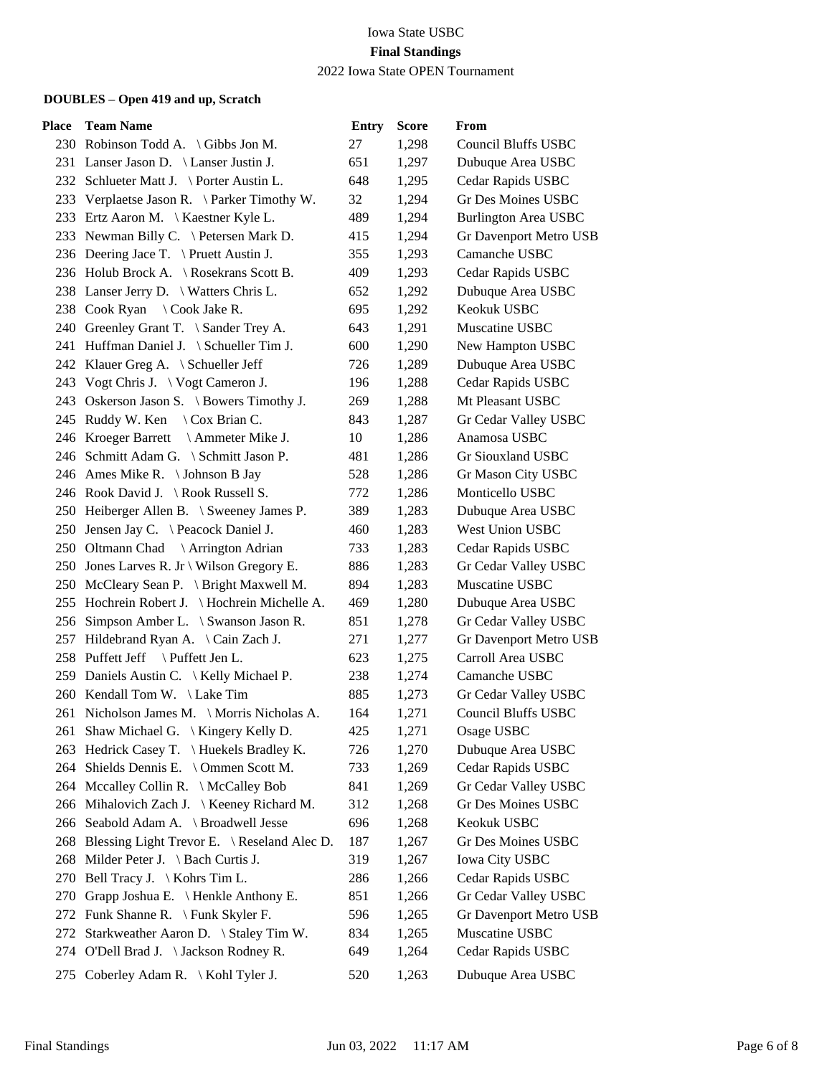| Place | <b>Team Name</b>                                | <b>Entry</b> | <b>Score</b> | From                        |
|-------|-------------------------------------------------|--------------|--------------|-----------------------------|
|       | 230 Robinson Todd A. \ Gibbs Jon M.             | 27           | 1,298        | <b>Council Bluffs USBC</b>  |
|       | 231 Lanser Jason D. \ Lanser Justin J.          | 651          | 1,297        | Dubuque Area USBC           |
|       | 232 Schlueter Matt J. \ Porter Austin L.        | 648          | 1,295        | Cedar Rapids USBC           |
|       | 233 Verplaetse Jason R. \ Parker Timothy W.     | 32           | 1,294        | <b>Gr Des Moines USBC</b>   |
|       | 233 Ertz Aaron M. \ Kaestner Kyle L.            | 489          | 1,294        | <b>Burlington Area USBC</b> |
|       | 233 Newman Billy C. \ Petersen Mark D.          | 415          | 1,294        | Gr Davenport Metro USB      |
|       | 236 Deering Jace T. \ Pruett Austin J.          | 355          | 1,293        | Camanche USBC               |
|       | 236 Holub Brock A. \ Rosekrans Scott B.         | 409          | 1,293        | Cedar Rapids USBC           |
|       | 238 Lanser Jerry D. \ Watters Chris L.          | 652          | 1,292        | Dubuque Area USBC           |
|       | 238 Cook Ryan \ Cook Jake R.                    | 695          | 1,292        | Keokuk USBC                 |
|       | 240 Greenley Grant T. \ Sander Trey A.          | 643          | 1,291        | Muscatine USBC              |
|       | 241 Huffman Daniel J. \ Schueller Tim J.        | 600          | 1,290        | New Hampton USBC            |
|       | 242 Klauer Greg A. \ Schueller Jeff             | 726          | 1,289        | Dubuque Area USBC           |
| 243   | Vogt Chris J. $\setminus$ Vogt Cameron J.       | 196          | 1,288        | Cedar Rapids USBC           |
|       | 243 Oskerson Jason S. \ Bowers Timothy J.       | 269          | 1,288        | Mt Pleasant USBC            |
|       | 245 Ruddy W. Ken \ Cox Brian C.                 | 843          | 1,287        | Gr Cedar Valley USBC        |
|       | 246 Kroeger Barrett \ Ammeter Mike J.           | 10           | 1,286        | Anamosa USBC                |
|       | 246 Schmitt Adam G. \ Schmitt Jason P.          | 481          | 1,286        | Gr Siouxland USBC           |
|       | 246 Ames Mike R. \ Johnson B Jay                | 528          | 1,286        | Gr Mason City USBC          |
|       | 246 Rook David J. \Rook Russell S.              | 772          | 1,286        | Monticello USBC             |
|       | 250 Heiberger Allen B. \ Sweeney James P.       | 389          | 1,283        | Dubuque Area USBC           |
|       | 250 Jensen Jay C. \ Peacock Daniel J.           | 460          | 1,283        | West Union USBC             |
|       | 250 Oltmann Chad \ Arrington Adrian             | 733          | 1,283        | Cedar Rapids USBC           |
|       | 250 Jones Larves R. Jr \ Wilson Gregory E.      | 886          | 1,283        | Gr Cedar Valley USBC        |
|       | 250 McCleary Sean P. \ Bright Maxwell M.        | 894          | 1,283        | Muscatine USBC              |
|       | 255 Hochrein Robert J. \ Hochrein Michelle A.   | 469          | 1,280        | Dubuque Area USBC           |
|       | 256 Simpson Amber L. \ Swanson Jason R.         | 851          | 1,278        | Gr Cedar Valley USBC        |
|       | 257 Hildebrand Ryan A. \Cain Zach J.            | 271          | 1,277        | Gr Davenport Metro USB      |
|       | 258 Puffett Jeff \ Puffett Jen L.               | 623          | 1,275        | Carroll Area USBC           |
|       | 259 Daniels Austin C. \ Kelly Michael P.        | 238          | 1,274        | Camanche USBC               |
|       | 260 Kendall Tom W. \ Lake Tim                   | 885          | 1,273        | Gr Cedar Valley USBC        |
|       | 261 Nicholson James M. \ Morris Nicholas A.     | 164          | 1,271        | <b>Council Bluffs USBC</b>  |
|       | 261 Shaw Michael G. \ Kingery Kelly D.          | 425          | 1,271        | Osage USBC                  |
| 263   | Hedrick Casey T. \Huekels Bradley K.            | 726          | 1,270        | Dubuque Area USBC           |
|       | 264 Shields Dennis E. \ Ommen Scott M.          | 733          | 1,269        | Cedar Rapids USBC           |
|       | 264 Mccalley Collin R. \ McCalley Bob           | 841          | 1,269        | Gr Cedar Valley USBC        |
| 266   | Mihalovich Zach J. \ Keeney Richard M.          | 312          | 1,268        | <b>Gr Des Moines USBC</b>   |
|       | 266 Seabold Adam A. \ Broadwell Jesse           | 696          | 1,268        | Keokuk USBC                 |
|       | 268 Blessing Light Trevor E. \ Reseland Alec D. | 187          | 1,267        | Gr Des Moines USBC          |
|       | 268 Milder Peter J. \ Bach Curtis J.            | 319          | 1,267        | Iowa City USBC              |
| 270   | Bell Tracy J. \ Kohrs Tim L.                    | 286          | 1,266        | Cedar Rapids USBC           |
| 270   | Grapp Joshua E. \ Henkle Anthony E.             | 851          | 1,266        | Gr Cedar Valley USBC        |
| 272   | Funk Shanne R. $\Im$ Funk Skyler F.             | 596          | 1,265        | Gr Davenport Metro USB      |
| 272   | Starkweather Aaron D. \ Staley Tim W.           | 834          | 1,265        | Muscatine USBC              |
|       | 274 O'Dell Brad J. \Jackson Rodney R.           | 649          | 1,264        | Cedar Rapids USBC           |
|       | 275 Coberley Adam R. \ Kohl Tyler J.            | 520          | 1,263        | Dubuque Area USBC           |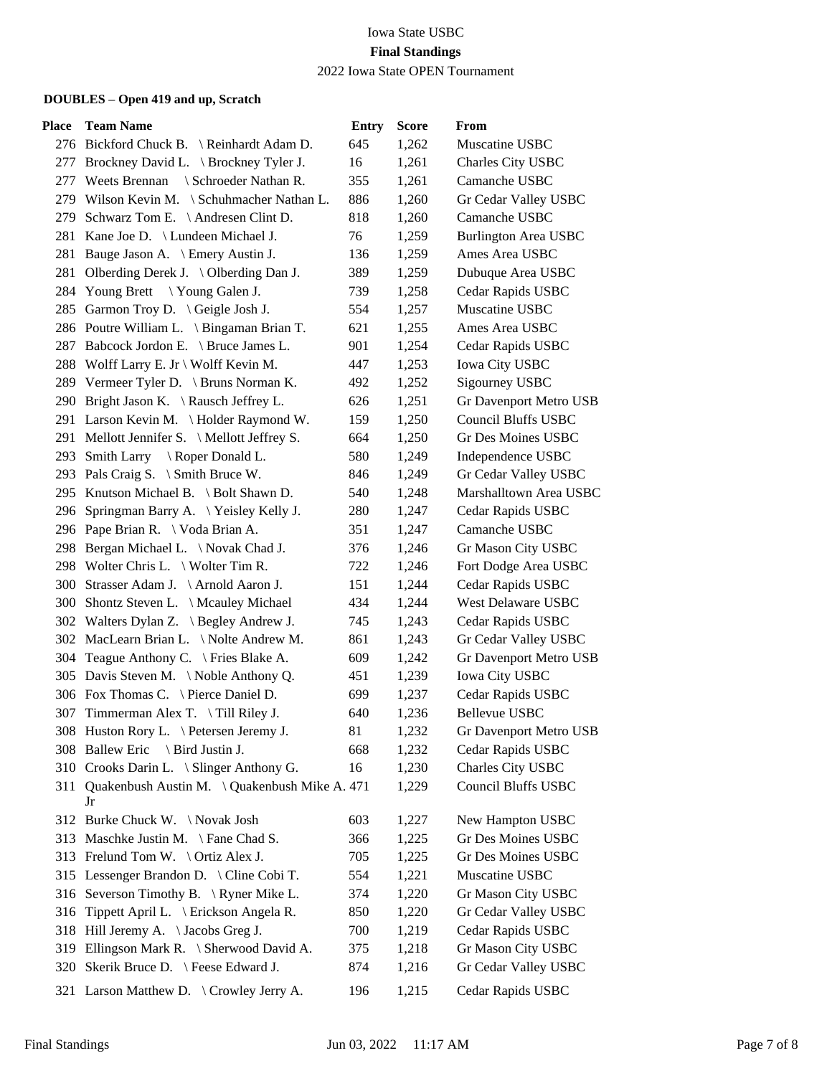| Place | <b>Team Name</b>                                        | <b>Entry</b> | <b>Score</b> | From                        |
|-------|---------------------------------------------------------|--------------|--------------|-----------------------------|
|       | 276 Bickford Chuck B. \ Reinhardt Adam D.               | 645          | 1,262        | Muscatine USBC              |
|       | 277 Brockney David L. \ Brockney Tyler J.               | 16           | 1,261        | Charles City USBC           |
|       | 277 Weets Brennan \ Schroeder Nathan R.                 | 355          | 1,261        | Camanche USBC               |
|       | 279 Wilson Kevin M. \ Schuhmacher Nathan L.             | 886          | 1,260        | Gr Cedar Valley USBC        |
| 279   | Schwarz Tom E. $\setminus$ Andresen Clint D.            | 818          | 1,260        | Camanche USBC               |
|       | 281 Kane Joe D. \ Lundeen Michael J.                    | 76           | 1,259        | <b>Burlington Area USBC</b> |
|       | 281 Bauge Jason A. \ Emery Austin J.                    | 136          | 1,259        | Ames Area USBC              |
|       | 281 Olberding Derek J. \ Olberding Dan J.               | 389          | 1,259        | Dubuque Area USBC           |
|       | 284 Young Brett \Young Galen J.                         | 739          | 1,258        | Cedar Rapids USBC           |
|       | 285 Garmon Troy D. \ Geigle Josh J.                     | 554          | 1,257        | Muscatine USBC              |
|       | 286 Poutre William L. \ Bingaman Brian T.               | 621          | 1,255        | Ames Area USBC              |
|       | 287 Babcock Jordon E. \ Bruce James L.                  | 901          | 1,254        | Cedar Rapids USBC           |
|       | 288 Wolff Larry E. Jr \ Wolff Kevin M.                  | 447          | 1,253        | <b>Iowa City USBC</b>       |
|       | 289 Vermeer Tyler D. \ Bruns Norman K.                  | 492          | 1,252        | Sigourney USBC              |
|       | 290 Bright Jason K. \Rausch Jeffrey L.                  | 626          | 1,251        | Gr Davenport Metro USB      |
|       | 291 Larson Kevin M. \Holder Raymond W.                  | 159          | 1,250        | <b>Council Bluffs USBC</b>  |
|       | 291 Mellott Jennifer S. \ Mellott Jeffrey S.            | 664          | 1,250        | Gr Des Moines USBC          |
|       | 293 Smith Larry \ Roper Donald L.                       | 580          | 1,249        | Independence USBC           |
|       | 293 Pals Craig S. \ Smith Bruce W.                      | 846          | 1,249        | Gr Cedar Valley USBC        |
|       | 295 Knutson Michael B. \ Bolt Shawn D.                  | 540          | 1,248        | Marshalltown Area USBC      |
| 296   | Springman Barry A. \Yeisley Kelly J.                    | 280          | 1,247        | Cedar Rapids USBC           |
|       | 296 Pape Brian R. \ Voda Brian A.                       | 351          | 1,247        | Camanche USBC               |
|       | 298 Bergan Michael L. \ Novak Chad J.                   | 376          | 1,246        | Gr Mason City USBC          |
|       | 298 Wolter Chris L. \ Wolter Tim R.                     | 722          | 1,246        | Fort Dodge Area USBC        |
|       | 300 Strasser Adam J. \Arnold Aaron J.                   | 151          | 1,244        | Cedar Rapids USBC           |
|       | 300 Shontz Steven L. \ Mcauley Michael                  | 434          | 1,244        | West Delaware USBC          |
|       | 302 Walters Dylan Z. \ Begley Andrew J.                 | 745          | 1,243        | Cedar Rapids USBC           |
|       | 302 MacLearn Brian L. \ Nolte Andrew M.                 | 861          | 1,243        | Gr Cedar Valley USBC        |
| 304   | Teague Anthony C. \ Fries Blake A.                      | 609          | 1,242        | Gr Davenport Metro USB      |
|       | 305 Davis Steven M. \Noble Anthony Q.                   | 451          | 1,239        | <b>Iowa City USBC</b>       |
|       | 306 Fox Thomas C. \ Pierce Daniel D.                    | 699          | 1,237        | Cedar Rapids USBC           |
|       | 307 Timmerman Alex T. \Till Riley J.                    | 640          | 1,236        | <b>Bellevue USBC</b>        |
|       | 308 Huston Rory L. \ Petersen Jeremy J.                 | 81           | 1,232        | Gr Davenport Metro USB      |
|       | 308 Ballew Eric \ Bird Justin J.                        | 668          | 1,232        | Cedar Rapids USBC           |
|       | 310 Crooks Darin L. \ Slinger Anthony G.                | 16           | 1,230        | Charles City USBC           |
|       | 311 Quakenbush Austin M. \ Quakenbush Mike A. 471<br>Jr |              | 1,229        | <b>Council Bluffs USBC</b>  |
|       | 312 Burke Chuck W. \Novak Josh                          | 603          | 1,227        | New Hampton USBC            |
|       | 313 Maschke Justin M. \ Fane Chad S.                    | 366          | 1,225        | Gr Des Moines USBC          |
|       | 313 Frelund Tom W. \Ortiz Alex J.                       | 705          | 1,225        | Gr Des Moines USBC          |
|       | 315 Lessenger Brandon D. \ Cline Cobi T.                | 554          | 1,221        | Muscatine USBC              |
|       | 316 Severson Timothy B. \ Ryner Mike L.                 | 374          | 1,220        | Gr Mason City USBC          |
| 316   | Tippett April L. \ Erickson Angela R.                   | 850          | 1,220        | Gr Cedar Valley USBC        |
|       | 318 Hill Jeremy A. \Jacobs Greg J.                      | 700          | 1,219        | Cedar Rapids USBC           |
| 319   | Ellingson Mark R. \ Sherwood David A.                   | 375          | 1,218        | Gr Mason City USBC          |
| 320   | Skerik Bruce D. \ Feese Edward J.                       | 874          | 1,216        | Gr Cedar Valley USBC        |
|       | 321 Larson Matthew D. \ Crowley Jerry A.                | 196          | 1,215        | Cedar Rapids USBC           |